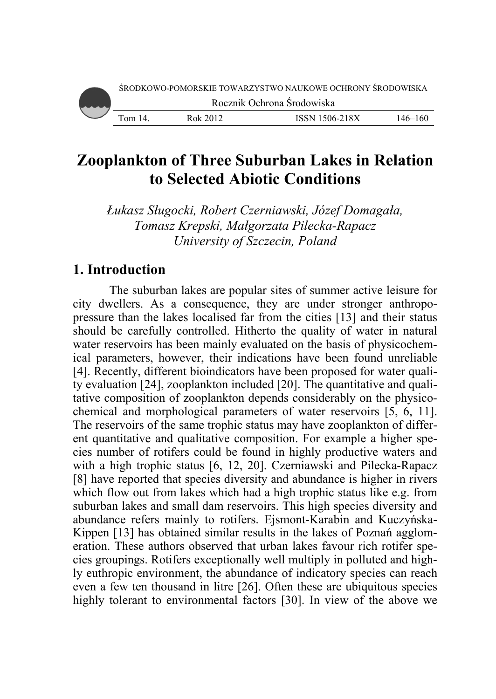# **Zooplankton of Three Suburban Lakes in Relation** to Selected Abiotic Conditions

*Łukas sz Sługocki, R Robert Czerni iawski, Józef f Domagała,*   $T$ *Omasz Krepski, Małgorzata Pilecka-Rapacz* University of Szczecin, Poland

## 1. Introduction

The suburban lakes are popular sites of summer active leisure for city dwellers. As a consequence, they are under stronger anthropopressure than the lakes localised far from the cities [13] and their status should be carefully controlled. Hitherto the quality of water in natural water reservoirs has been mainly evaluated on the basis of physicochemical parameters, however, their indications have been found unreliable [4]. Recently, different bioindicators have been proposed for water quality evaluation [24], zooplankton included [20]. The quantitative and qualitative composition of zooplankton depends considerably on the physicochemical and morphological parameters of water reservoirs [5, 6, 11]. The reservoirs of the same trophic status may have zooplankton of different quantitative and qualitative composition. For example a higher species number of rotifers co uld be found in highly pro ductive water s and with a high trophic status [6, 12, 20]. Czerniawski and Pilecka-Rapacz [8] have reported that species diversity and abundance is higher in rivers which flow out from lakes which had a high trophic status like e.g. from suburban lakes and small dam reservoirs. This high species diversity and abundance refers mainly to rotifers. Ejsmont-Karabin and Kuczyńska-Kippen [13] has obtained similar results in the lakes of Poznań agglomeration. These authors observed that urban lakes favour rich rotifer species groupings. Rotifers exceptionally well multiply in polluted and highly euthropic environment, the abundance of indicatory species can reach even a few ten thousand in litre [26]. Often these are ubiquitous species highly tolerant to environmental factors [30]. In view of the above we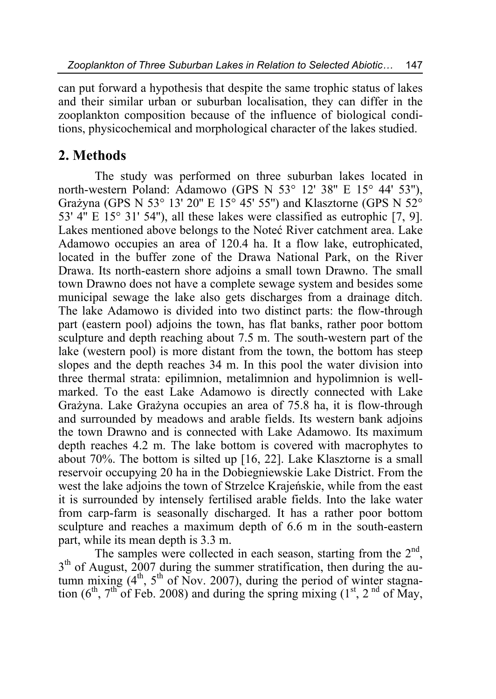can put forward a hypothesis that despite the same trophic status of lakes and their similar urban or suburban localisation, they can differ in the zooplankton composition because of the influence of biological conditions, physicochemical and morphological character of the lakes studied.

## **2. Methods**

The study was performed on three suburban lakes located in north-western Poland: Adamowo (GPS N 53° 12' 38'' E 15° 44' 53''), Grażyna (GPS N 53° 13' 20'' E 15° 45' 55'') and Klasztorne (GPS N 52° 53' 4'' E 15° 31' 54''), all these lakes were classified as eutrophic [7, 9]. Lakes mentioned above belongs to the Noteć River catchment area. Lake Adamowo occupies an area of 120.4 ha. It a flow lake, eutrophicated, located in the buffer zone of the Drawa National Park, on the River Drawa. Its north-eastern shore adjoins a small town Drawno. The small town Drawno does not have a complete sewage system and besides some municipal sewage the lake also gets discharges from a drainage ditch. The lake Adamowo is divided into two distinct parts: the flow-through part (eastern pool) adjoins the town, has flat banks, rather poor bottom sculpture and depth reaching about 7.5 m. The south-western part of the lake (western pool) is more distant from the town, the bottom has steep slopes and the depth reaches 34 m. In this pool the water division into three thermal strata: epilimnion, metalimnion and hypolimnion is wellmarked. To the east Lake Adamowo is directly connected with Lake Grażyna. Lake Grażyna occupies an area of 75.8 ha, it is flow-through and surrounded by meadows and arable fields. Its western bank adjoins the town Drawno and is connected with Lake Adamowo. Its maximum depth reaches 4.2 m. The lake bottom is covered with macrophytes to about 70%. The bottom is silted up [16, 22]. Lake Klasztorne is a small reservoir occupying 20 ha in the Dobiegniewskie Lake District. From the west the lake adjoins the town of Strzelce Krajeńskie, while from the east it is surrounded by intensely fertilised arable fields. Into the lake water from carp-farm is seasonally discharged. It has a rather poor bottom sculpture and reaches a maximum depth of 6.6 m in the south-eastern part, while its mean depth is 3.3 m.

The samples were collected in each season, starting from the  $2<sup>nd</sup>$ ,  $3<sup>th</sup>$  of August, 2007 during the summer stratification, then during the autumn mixing  $(4<sup>th</sup>, 5<sup>th</sup>$  of Nov. 2007), during the period of winter stagnation ( $6<sup>th</sup>$ ,  $7<sup>th</sup>$  of Feb. 2008) and during the spring mixing ( $1<sup>st</sup>$ ,  $2<sup>nd</sup>$  of May,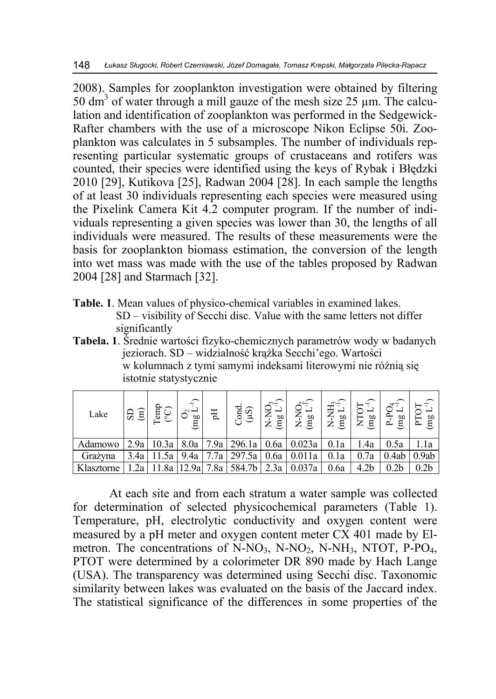2008). Samples for zooplankton investigation were obtained by filtering 50 dm<sup>3</sup> of water through a mill gauze of the mesh size 25  $\mu$ m. The calculation and identification of zooplankton was performed in the Sedgewick-Rafter chambers with the use of a microscope Nikon Eclipse 50i. Zooplankton was calculates in 5 subsamples. The number of individuals representing particular systematic groups of crustaceans and rotifers was counted, their species were identified using the keys of Rybak i Błędzki 2010 [29], Kutikova [25], Radwan 2004 [28]. In each sample the lengths of at least 30 individuals representing each species were measured using the Pixelink Camera Kit 4.2 computer program. If the number of individuals representing a given species was lower than 30, the lengths of all individuals were measured. The results of these measurements were the basis for zooplankton biomass estimation, the conversion of the length into wet mass was made with the use of the tables proposed by Radwan 2004 [28] and Starmach [32].

- **Table. 1**. Mean values of physico-chemical variables in examined lakes. SD – visibility of Secchi disc. Value with the same letters not differ significantly
- **Tabela. 1**. Średnie wartości fizyko-chemicznych parametrów wody w badanych jeziorach. SD – widzialność krążka Secchi'ego. Wartości w kolumnach z tymi samymi indeksami literowymi nie różnią się istotnie statystycznie

| Lake       | $\widehat{\Xi}$<br>G | emp<br>င့ | $\sim$ $-$<br>60<br>Ë | Eq   | $\rm{Cond}$<br>(Sn) | $\widehat{f}$<br>-<br>Ž<br>mg<br>z | $\sim$<br>ž<br>$\mathbf{g}$ ur)<br>Z | 字<br>$\lim_{\delta}$<br>Z | $\mathbf{g}$ ur<br>z | ã,<br>$\sin$<br>$\sim$ | ρŪ<br>Ê |
|------------|----------------------|-----------|-----------------------|------|---------------------|------------------------------------|--------------------------------------|---------------------------|----------------------|------------------------|---------|
| Adamowo    | 2.9a                 | 10.3a     | 8.0a                  | 7.9a | 296.1a              | 0.6a                               | 0.023a                               | 0.1a                      | l.4a                 | 0.5a                   |         |
| Grażyna    | 3.4a                 | .5a       | 9.4a                  | '.7a | 297<br>.5a          | 0.6a                               | 1a                                   | 0.1a                      | 0.7a                 | 0.4ab                  | 0.9ab   |
| Klasztorne | 2a                   | 8a        | .9a                   | 7.8a | 584.7b              | 2.3a                               |                                      | 0.6a                      | 4.2 <sub>b</sub>     | $0.2\mathrm{b}$        | 0.2b    |

At each site and from each stratum a water sample was collected for determination of selected physicochemical parameters (Table 1). Temperature, pH, electrolytic conductivity and oxygen content were measured by a pH meter and oxygen content meter CX 401 made by Elmetron. The concentrations of  $N-NO_3$ ,  $N-NO_2$ ,  $N-NH_3$ ,  $NTOT$ ,  $P-PO_4$ , PTOT were determined by a colorimeter DR 890 made by Hach Lange (USA). The transparency was determined using Secchi disc. Taxonomic similarity between lakes was evaluated on the basis of the Jaccard index. The statistical significance of the differences in some properties of the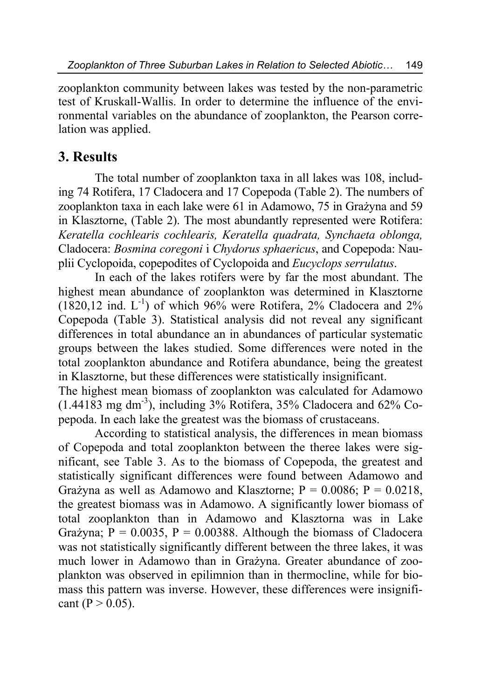zooplankton community between lakes was tested by the non-parametric test of Kruskall-Wallis. In order to determine the influence of the environmental variables on the abundance of zooplankton, the Pearson correlation was applied.

## **3. Results**

The total number of zooplankton taxa in all lakes was 108, including 74 Rotifera, 17 Cladocera and 17 Copepoda (Table 2). The numbers of zooplankton taxa in each lake were 61 in Adamowo, 75 in Grażyna and 59 in Klasztorne, (Table 2). The most abundantly represented were Rotifera: *Keratella cochlearis cochlearis, Keratella quadrata, Synchaeta oblonga,* Cladocera: *Bosmina coregoni* i *Chydorus sphaericus*, and Copepoda: Nauplii Cyclopoida, copepodites of Cyclopoida and *Eucyclops serrulatus*.

In each of the lakes rotifers were by far the most abundant. The highest mean abundance of zooplankton was determined in Klasztorne  $(1820, 12 \text{ ind. } L^{-1})$  of which 96% were Rotifera, 2% Cladocera and 2% Copepoda (Table 3). Statistical analysis did not reveal any significant differences in total abundance an in abundances of particular systematic groups between the lakes studied. Some differences were noted in the total zooplankton abundance and Rotifera abundance, being the greatest in Klasztorne, but these differences were statistically insignificant.

The highest mean biomass of zooplankton was calculated for Adamowo  $(1.44183 \text{ mg dm}^3)$ , including 3% Rotifera, 35% Cladocera and 62% Copepoda. In each lake the greatest was the biomass of crustaceans.

According to statistical analysis, the differences in mean biomass of Copepoda and total zooplankton between the theree lakes were significant, see Table 3. As to the biomass of Copepoda, the greatest and statistically significant differences were found between Adamowo and Grażyna as well as Adamowo and Klasztorne;  $P = 0.0086$ ;  $P = 0.0218$ , the greatest biomass was in Adamowo. A significantly lower biomass of total zooplankton than in Adamowo and Klasztorna was in Lake Grażyna;  $P = 0.0035$ ,  $P = 0.00388$ . Although the biomass of Cladocera was not statistically significantly different between the three lakes, it was much lower in Adamowo than in Grażyna. Greater abundance of zooplankton was observed in epilimnion than in thermocline, while for biomass this pattern was inverse. However, these differences were insignificant ( $P > 0.05$ ).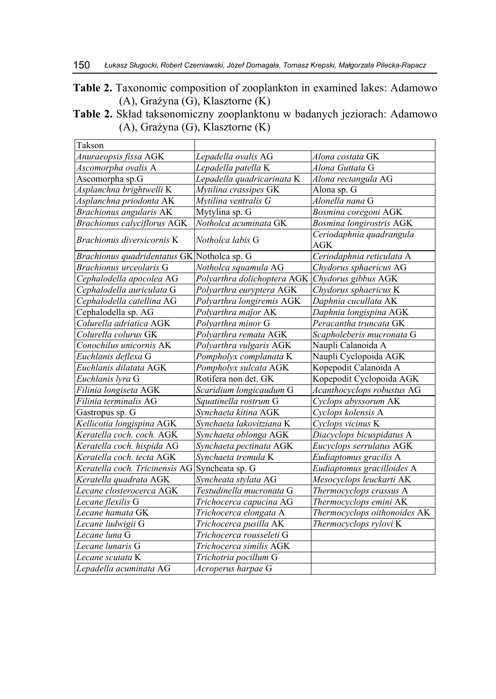**Table 2.** Taxonomic composition of zooplankton in examined lakes: Adamowo (A), Grażyna (G), Klasztorne (K)

**Table 2.** Skład taksonomiczny zooplanktonu w badanych jeziorach: Adamowo (A), Grażyna (G), Klasztorne (K)

| Takson                                         |                             |                                 |
|------------------------------------------------|-----------------------------|---------------------------------|
| Anuraeopsis fissa AGK                          | Lepadella ovalis AG         | Alona costata GK                |
| Ascomorpha ovalis A                            | Lepadella patella K         | Alona Guttata G                 |
| Ascomorpha sp.G                                | Lepadella quadricarinata K  | Alona rectangula AG             |
| Asplanchna brightwelli K                       | Mytilina crassipes GK       | Alona sp. G                     |
| Asplanchna priodonta AK                        | Mytilina ventralis G        | Alonella nana G                 |
| Brachionus angularis AK                        | Mytylina sp. G              | Bosmina coregoni AGK            |
| <b>Brachionus calvciflorus AGK</b>             | Notholca acuminata GK       | Bosmina longirostris AGK        |
| Brachionus diversicornis K                     | Notholca labis G            | Ceriodaphnia quadrangula<br>AGK |
| Brachionus quadridentatus GK Notholca sp. G    |                             | Ceriodaphnia reticulata A       |
| <b>Brachionus urceolaris G</b>                 | Notholca squamula AG        | Chydorus sphaericus AG          |
| Cephalodella apocolea AG                       | Polyarthra dolichoptera AGK | Chydorus gibbus AGK             |
| Cephalodella auriculata G                      | Polyarthra euryptera AGK    | Chydorus sphaericus K           |
| Cephalodella catellina AG                      | Polyarthra longiremis AGK   | Daphnia cucullata AK            |
| Cephalodella sp. AG                            | Polyarthra major AK         | Daphnia longispina AGK          |
| Colurella adriatica AGK                        | Polyarthra minor G          | Peracantha truncata GK          |
| Colurella colurus GK                           | Polyarthra remata AGK       | Scapholeberis mucronata G       |
| Conochilus unicornis AK                        | Polyarthra vulgaris AGK     | Naupli Calanoida A              |
| Euchlanis deflexa G                            | Pompholyx complanata K      | Naupli Cyclopoida AGK           |
| Euchlanis dilatata AGK                         | Pompholyx sulcata AGK       | Kopepodit Calanoida A           |
| Euchlanis lyra G                               | Rotifera non det. GK        | Kopepodit Cyclopoida AGK        |
| Filinia longiseta AGK                          | Scaridium longicaudum G     | Acanthocyclops robustus AG      |
| Filinia terminalis AG                          | Squatinella rostrum G       | Cyclops abyssorum AK            |
| Gastropus sp. G                                | Synchaeta kitina AGK        | Cyclops kolensis A              |
| Kellicotia longispina AGK                      | Synchaeta lakovitziana K    | Cyclops vicinus K               |
| Keratella coch. coch. AGK                      | Synchaeta oblonga AGK       | Diacyclops bicuspidatus A       |
| Keratella coch. hispida AG                     | Synchaeta pectinata AGK     | Eucyclops serrulatus AGK        |
| Keratella coch. tecta AGK                      | Synchaeta tremula K         | Eudiaptomus gracilis A          |
| Keratella coch. Tricinensis AG Syncheata sp. G |                             | Eudiaptomus gracilloides A      |
| Keratella quadrata AGK                         | Syncheata stylata AG        | Mesocyclops leuckarti AK        |
| Lecane closterocerca AGK                       | Testudinella mucronata G    | Thermocyclops crassus A         |
| Lecane flexilis G                              | Trichocerca capucina AG     | Thermocyclops emini AK          |
| Lecane hamata GK                               | Trichocerca elongata A      | Thermocyclops oithonoides AK    |
| Lecane ludwigii G                              | Trichocerca pusilla AK      | Thermocyclops rylovi K          |
| Lecane luna G                                  | Trichocerca rousseleti G    |                                 |
| Lecane lunaris G                               | Trichocerca similis AGK     |                                 |
| Lecane scutata K                               | Trichotria pocillum G       |                                 |
| Lepadella acuminata AG                         | Acroperus harpae G          |                                 |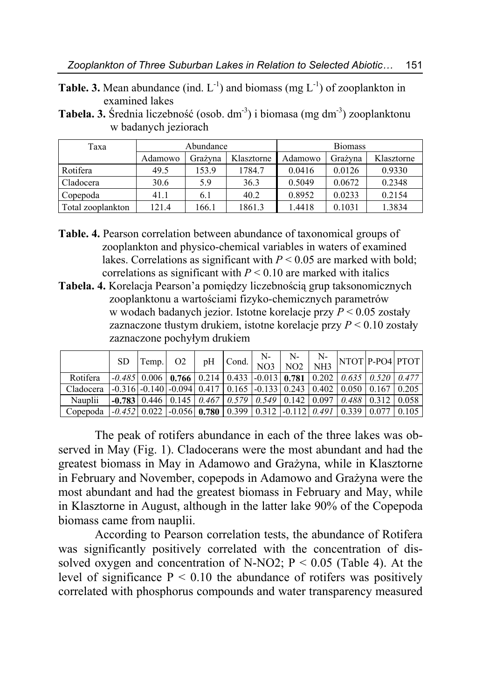- **Table. 3.** Mean abundance (ind.  $L^{-1}$ ) and biomass (mg  $L^{-1}$ ) of zooplankton in examined lakes
- **Tabela. 3.** Średnia liczebność (osob. dm<sup>-3</sup>) i biomasa (mg dm<sup>-3</sup>) zooplanktonu w badanych jeziorach

| Taxa              |                    | Abundance |            | <b>Biomass</b>     |        |            |  |
|-------------------|--------------------|-----------|------------|--------------------|--------|------------|--|
|                   | Adamowo<br>Grażyna |           | Klasztorne | Adamowo<br>Grażyna |        | Klasztorne |  |
| Rotifera          | 49.5               | 153.9     | 1784.7     | 0.0416             | 0.0126 | 0.9330     |  |
| Cladocera         | 30.6               | 5.9       | 36.3       | 0.5049             | 0.0672 | 0.2348     |  |
| Copepoda          | 41.1               | 6.1       | 40.2       | 0.8952             | 0.0233 | 0.2154     |  |
| Total zooplankton | 121.4              | 166.1     | 1861.3     | 1.4418             | 0.1031 | 1.3834     |  |

- **Table. 4.** Pearson correlation between abundance of taxonomical groups of zooplankton and physico-chemical variables in waters of examined lakes. Correlations as significant with  $P \leq 0.05$  are marked with bold; correlations as significant with  $P < 0.10$  are marked with italics
- **Tabela. 4.** Korelacja Pearson'a pomiędzy liczebnością grup taksonomicznych zooplanktonu a wartościami fizyko-chemicznych parametrów w wodach badanych jezior. Istotne korelacje przy *P* < 0.05 zostały zaznaczone tłustym drukiem, istotne korelacje przy *P* < 0.10 zostały zaznaczone pochyłym drukiem

|           | <b>SD</b> | Temp. | O <sub>2</sub>                                                                              | pH | Cond. | N-<br>NO <sub>3</sub> | N-<br>NO <sub>2</sub> | N-<br>NH3 | NTOT P-PO4 PTOT |        |
|-----------|-----------|-------|---------------------------------------------------------------------------------------------|----|-------|-----------------------|-----------------------|-----------|-----------------|--------|
| Rotifera  |           |       | $-0.485$   0.006   0.766   0.214   0.433   -0.013   0.781   0.202   0.635   0.520   0.477   |    |       |                       |                       |           |                 |        |
| Cladocera |           |       | $-0.316$ $-0.140$ $-0.094$ $0.417$ $0.165$ $-0.133$ $0.243$ $0.402$ $0.050$ $0.167$ $0.205$ |    |       |                       |                       |           |                 |        |
| Nauplii   |           |       | $-0.783$   0.446   0.145   0.467   0.579   0.549   0.142   0.097                            |    |       |                       |                       |           | $0.488$ 0.312   | 0.058  |
| Copepoda  |           |       | $-0.452$   0.022   $-0.056$   0.780   0.399   0.312   $-0.112$   0.491   0.339   0.077      |    |       |                       |                       |           |                 | 10.105 |

The peak of rotifers abundance in each of the three lakes was observed in May (Fig. 1). Cladocerans were the most abundant and had the greatest biomass in May in Adamowo and Grażyna, while in Klasztorne in February and November, copepods in Adamowo and Grażyna were the most abundant and had the greatest biomass in February and May, while in Klasztorne in August, although in the latter lake 90% of the Copepoda biomass came from nauplii.

According to Pearson correlation tests, the abundance of Rotifera was significantly positively correlated with the concentration of dissolved oxygen and concentration of N-NO2;  $P < 0.05$  (Table 4). At the level of significance  $P < 0.10$  the abundance of rotifers was positively correlated with phosphorus compounds and water transparency measured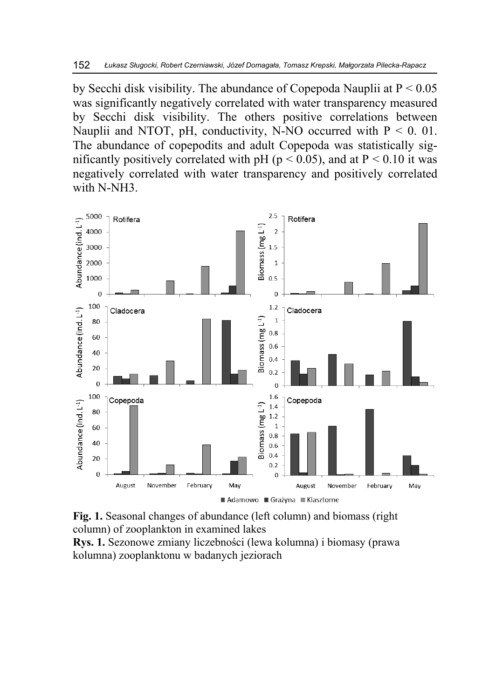by Secchi disk visibility. The abundance of Copepoda Nauplii at  $P < 0.05$ was significantly negatively correlated with water transparency measured by Secchi disk visibility. The others positive correlations between Nauplii and NTOT, pH, conductivity, N-NO occurred with  $P \le 0$ . 01. The abundance of copepodits and adult Copepoda was statistically significantly positively correlated with pH ( $p < 0.05$ ), and at  $P < 0.10$  it was negatively correlated with water transparency and positively correlated with N-NH3.



**Fig. 1.** Seasonal changes of abundance (left column) and biomass (right column) of zooplankton in examined lakes **Rys. 1.** Sezonowe zmiany liczebności (lewa kolumna) i biomasy (prawa

kolumna) zooplanktonu w badanych jeziorach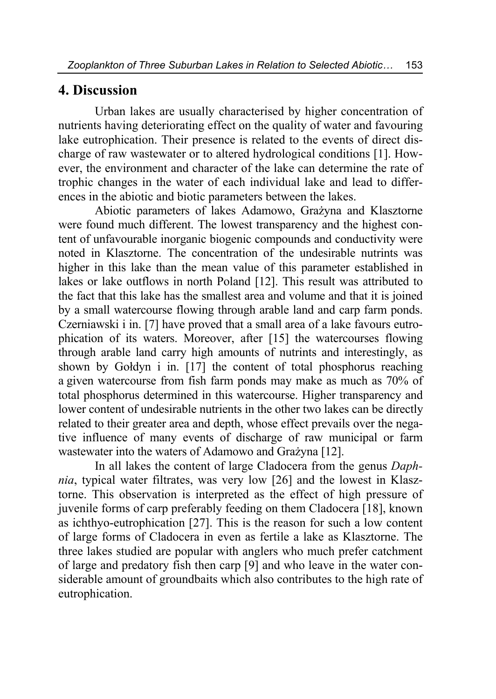#### **4. Discussion**

Urban lakes are usually characterised by higher concentration of nutrients having deteriorating effect on the quality of water and favouring lake eutrophication. Their presence is related to the events of direct discharge of raw wastewater or to altered hydrological conditions [1]. However, the environment and character of the lake can determine the rate of trophic changes in the water of each individual lake and lead to differences in the abiotic and biotic parameters between the lakes.

Abiotic parameters of lakes Adamowo, Grażyna and Klasztorne were found much different. The lowest transparency and the highest content of unfavourable inorganic biogenic compounds and conductivity were noted in Klasztorne. The concentration of the undesirable nutrints was higher in this lake than the mean value of this parameter established in lakes or lake outflows in north Poland [12]. This result was attributed to the fact that this lake has the smallest area and volume and that it is joined by a small watercourse flowing through arable land and carp farm ponds. Czerniawski i in. [7] have proved that a small area of a lake favours eutrophication of its waters. Moreover, after [15] the watercourses flowing through arable land carry high amounts of nutrints and interestingly, as shown by Gołdyn i in. [17] the content of total phosphorus reaching a given watercourse from fish farm ponds may make as much as 70% of total phosphorus determined in this watercourse. Higher transparency and lower content of undesirable nutrients in the other two lakes can be directly related to their greater area and depth, whose effect prevails over the negative influence of many events of discharge of raw municipal or farm wastewater into the waters of Adamowo and Grażyna [12].

In all lakes the content of large Cladocera from the genus *Daphnia*, typical water filtrates, was very low [26] and the lowest in Klasztorne. This observation is interpreted as the effect of high pressure of juvenile forms of carp preferably feeding on them Cladocera [18], known as ichthyo-eutrophication [27]. This is the reason for such a low content of large forms of Cladocera in even as fertile a lake as Klasztorne. The three lakes studied are popular with anglers who much prefer catchment of large and predatory fish then carp [9] and who leave in the water considerable amount of groundbaits which also contributes to the high rate of eutrophication.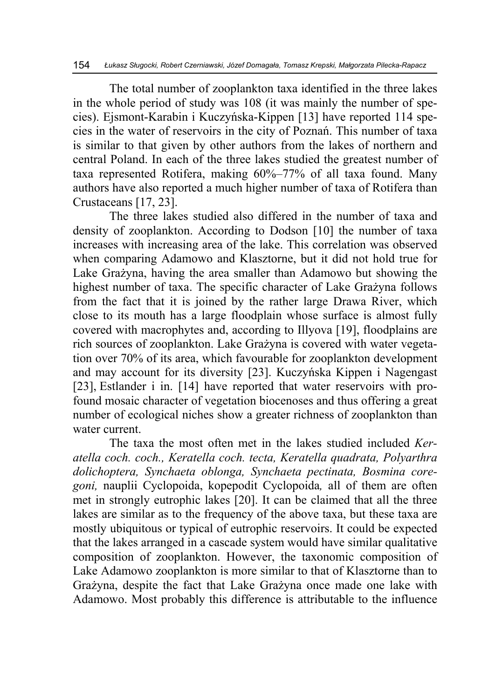The total number of zooplankton taxa identified in the three lakes in the whole period of study was 108 (it was mainly the number of species). Ejsmont-Karabin i Kuczyńska-Kippen [13] have reported 114 species in the water of reservoirs in the city of Poznań. This number of taxa is similar to that given by other authors from the lakes of northern and central Poland. In each of the three lakes studied the greatest number of taxa represented Rotifera, making 60%–77% of all taxa found. Many authors have also reported a much higher number of taxa of Rotifera than Crustaceans [17, 23].

The three lakes studied also differed in the number of taxa and density of zooplankton. According to Dodson [10] the number of taxa increases with increasing area of the lake. This correlation was observed when comparing Adamowo and Klasztorne, but it did not hold true for Lake Grażyna, having the area smaller than Adamowo but showing the highest number of taxa. The specific character of Lake Grażyna follows from the fact that it is joined by the rather large Drawa River, which close to its mouth has a large floodplain whose surface is almost fully covered with macrophytes and, according to Illyova [19], floodplains are rich sources of zooplankton. Lake Grażyna is covered with water vegetation over 70% of its area, which favourable for zooplankton development and may account for its diversity [23]. Kuczyńska Kippen i Nagengast [23], Estlander i in. [14] have reported that water reservoirs with profound mosaic character of vegetation biocenoses and thus offering a great number of ecological niches show a greater richness of zooplankton than water current.

The taxa the most often met in the lakes studied included *Keratella coch. coch., Keratella coch. tecta, Keratella quadrata, Polyarthra dolichoptera, Synchaeta oblonga, Synchaeta pectinata, Bosmina coregoni,* nauplii Cyclopoida, kopepodit Cyclopoida*,* all of them are often met in strongly eutrophic lakes [20]. It can be claimed that all the three lakes are similar as to the frequency of the above taxa, but these taxa are mostly ubiquitous or typical of eutrophic reservoirs. It could be expected that the lakes arranged in a cascade system would have similar qualitative composition of zooplankton. However, the taxonomic composition of Lake Adamowo zooplankton is more similar to that of Klasztorne than to Grażyna, despite the fact that Lake Grażyna once made one lake with Adamowo. Most probably this difference is attributable to the influence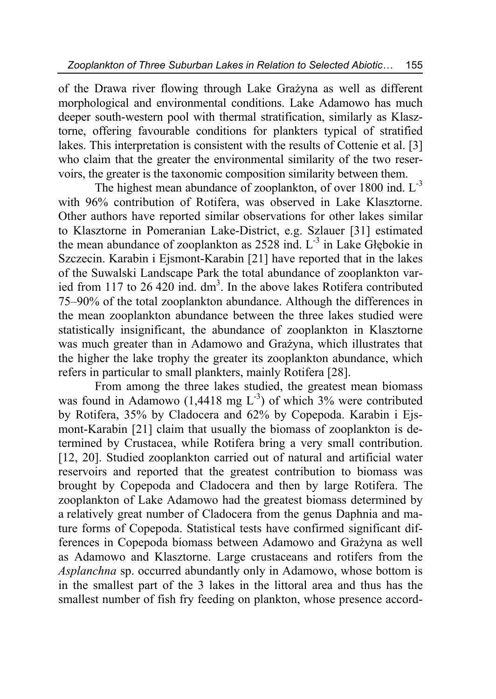of the Drawa river flowing through Lake Grażyna as well as different morphological and environmental conditions. Lake Adamowo has much deeper south-western pool with thermal stratification, similarly as Klasztorne, offering favourable conditions for plankters typical of stratified lakes. This interpretation is consistent with the results of Cottenie et al. [3] who claim that the greater the environmental similarity of the two reservoirs, the greater is the taxonomic composition similarity between them.

The highest mean abundance of zooplankton, of over  $1800$  ind.  $L^{-3}$ with 96% contribution of Rotifera, was observed in Lake Klasztorne. Other authors have reported similar observations for other lakes similar to Klasztorne in Pomeranian Lake-District, e.g. Szlauer [31] estimated the mean abundance of zooplankton as  $2528$  ind.  $L^{-3}$  in Lake Głębokie in Szczecin. Karabin i Ejsmont-Karabin [21] have reported that in the lakes of the Suwalski Landscape Park the total abundance of zooplankton varied from 117 to 26 420 ind.  $dm<sup>3</sup>$ . In the above lakes Rotifera contributed 75–90% of the total zooplankton abundance. Although the differences in the mean zooplankton abundance between the three lakes studied were statistically insignificant, the abundance of zooplankton in Klasztorne was much greater than in Adamowo and Grażyna, which illustrates that the higher the lake trophy the greater its zooplankton abundance, which refers in particular to small plankters, mainly Rotifera [28].

From among the three lakes studied, the greatest mean biomass was found in Adamowo  $(1,4418 \text{ mg } L^{-3})$  of which 3% were contributed by Rotifera, 35% by Cladocera and 62% by Copepoda. Karabin i Ejsmont-Karabin [21] claim that usually the biomass of zooplankton is determined by Crustacea, while Rotifera bring a very small contribution. [12, 20]. Studied zooplankton carried out of natural and artificial water reservoirs and reported that the greatest contribution to biomass was brought by Copepoda and Cladocera and then by large Rotifera. The zooplankton of Lake Adamowo had the greatest biomass determined by a relatively great number of Cladocera from the genus Daphnia and mature forms of Copepoda. Statistical tests have confirmed significant differences in Copepoda biomass between Adamowo and Grażyna as well as Adamowo and Klasztorne. Large crustaceans and rotifers from the *Asplanchna* sp. occurred abundantly only in Adamowo, whose bottom is in the smallest part of the 3 lakes in the littoral area and thus has the smallest number of fish fry feeding on plankton, whose presence accord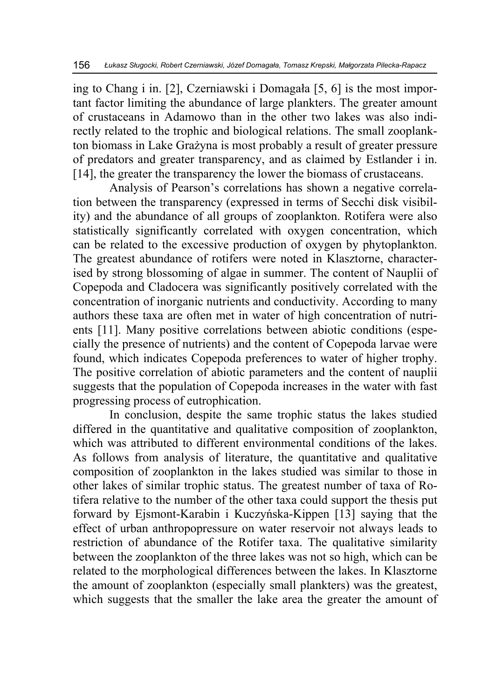ing to Chang i in. [2], Czerniawski i Domagała [5, 6] is the most important factor limiting the abundance of large plankters. The greater amount of crustaceans in Adamowo than in the other two lakes was also indirectly related to the trophic and biological relations. The small zooplankton biomass in Lake Grażyna is most probably a result of greater pressure of predators and greater transparency, and as claimed by Estlander i in. [14], the greater the transparency the lower the biomass of crustaceans.

Analysis of Pearson's correlations has shown a negative correlation between the transparency (expressed in terms of Secchi disk visibility) and the abundance of all groups of zooplankton. Rotifera were also statistically significantly correlated with oxygen concentration, which can be related to the excessive production of oxygen by phytoplankton. The greatest abundance of rotifers were noted in Klasztorne, characterised by strong blossoming of algae in summer. The content of Nauplii of Copepoda and Cladocera was significantly positively correlated with the concentration of inorganic nutrients and conductivity. According to many authors these taxa are often met in water of high concentration of nutrients [11]. Many positive correlations between abiotic conditions (especially the presence of nutrients) and the content of Copepoda larvae were found, which indicates Copepoda preferences to water of higher trophy. The positive correlation of abiotic parameters and the content of nauplii suggests that the population of Copepoda increases in the water with fast progressing process of eutrophication.

In conclusion, despite the same trophic status the lakes studied differed in the quantitative and qualitative composition of zooplankton, which was attributed to different environmental conditions of the lakes. As follows from analysis of literature, the quantitative and qualitative composition of zooplankton in the lakes studied was similar to those in other lakes of similar trophic status. The greatest number of taxa of Rotifera relative to the number of the other taxa could support the thesis put forward by Ejsmont-Karabin i Kuczyńska-Kippen [13] saying that the effect of urban anthropopressure on water reservoir not always leads to restriction of abundance of the Rotifer taxa. The qualitative similarity between the zooplankton of the three lakes was not so high, which can be related to the morphological differences between the lakes. In Klasztorne the amount of zooplankton (especially small plankters) was the greatest, which suggests that the smaller the lake area the greater the amount of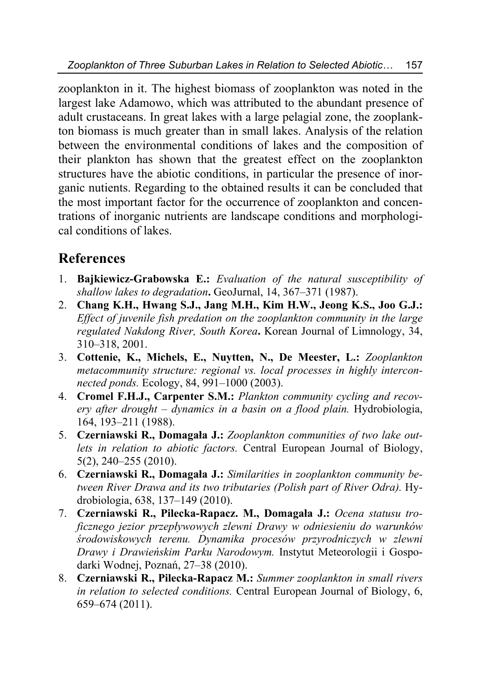zooplankton in it. The highest biomass of zooplankton was noted in the largest lake Adamowo, which was attributed to the abundant presence of adult crustaceans. In great lakes with a large pelagial zone, the zooplankton biomass is much greater than in small lakes. Analysis of the relation between the environmental conditions of lakes and the composition of their plankton has shown that the greatest effect on the zooplankton structures have the abiotic conditions, in particular the presence of inorganic nutients. Regarding to the obtained results it can be concluded that the most important factor for the occurrence of zooplankton and concentrations of inorganic nutrients are landscape conditions and morphological conditions of lakes.

## **References**

- 1. **Bajkiewicz-Grabowska E.:** *Evaluation of the natural susceptibility of shallow lakes to degradation***.** GeoJurnal, 14, 367–371 (1987).
- 2. **Chang K.H., Hwang S.J., Jang M.H., Kim H.W., Jeong K.S., Joo G.J.:**  *Effect of juvenile fish predation on the zooplankton community in the large regulated Nakdong River, South Korea***.** Korean Journal of Limnology, 34, 310–318, 2001.
- 3. **Cottenie, K., Michels, E., Nuytten, N., De Meester, L.:** *Zooplankton metacommunity structure: regional vs. local processes in highly interconnected ponds.* Ecology, 84, 991–1000 (2003).
- 4. **Cromel F.H.J., Carpenter S.M.:** *Plankton community cycling and recovery after drought – dynamics in a basin on a flood plain.* Hydrobiologia, 164, 193–211 (1988).
- 5. **Czerniawski R., Domagała J.:** *Zooplankton communities of two lake outlets in relation to abiotic factors.* Central European Journal of Biology, 5(2), 240–255 (2010).
- 6. **Czerniawski R., Domagała J.:** *Similarities in zooplankton community between River Drawa and its two tributaries (Polish part of River Odra).* Hydrobiologia, 638, 137–149 (2010).
- 7. **Czerniawski R., Pilecka-Rapacz. M., Domagała J.:** *Ocena statusu troficznego jezior przepływowych zlewni Drawy w odniesieniu do warunków środowiskowych terenu. Dynamika procesów przyrodniczych w zlewni Drawy i Drawieńskim Parku Narodowym.* Instytut Meteorologii i Gospodarki Wodnej, Poznań, 27–38 (2010).
- 8. **Czerniawski R., Pilecka-Rapacz M.:** *Summer zooplankton in small rivers in relation to selected conditions.* Central European Journal of Biology, 6, 659–674 (2011).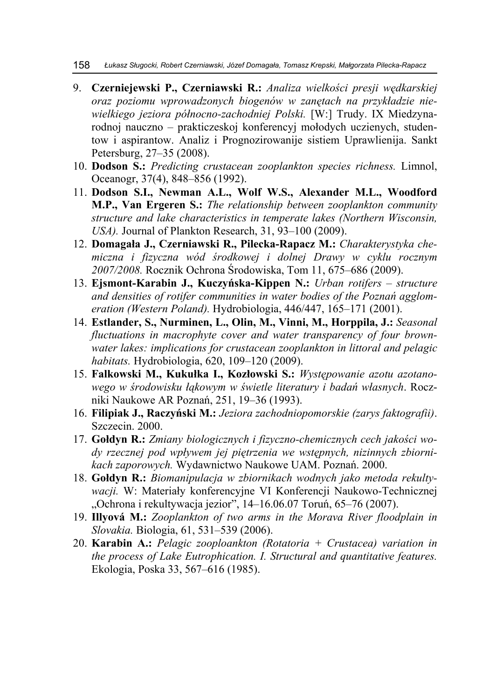- 9. **Czerniejewski P., Czerniawski R.:** *Analiza wielkości presji wędkarskiej oraz poziomu wprowadzonych biogenów w zanętach na przykładzie niewielkiego jeziora północno-zachodniej Polski.* [W:] Trudy. IX Miedzynarodnoj nauczno – prakticzeskoj konferencyj mołodych uczienych, studentow i aspirantow. Analiz i Prognozirowanije sistiem Uprawlienija. Sankt Petersburg, 27–35 (2008).
- 10. **Dodson S.:** *Predicting crustacean zooplankton species richness.* Limnol, Oceanogr, 37(4), 848–856 (1992).
- 11. **Dodson S.I., Newman A.L., Wolf W.S., Alexander M.L., Woodford M.P., Van Ergeren S.:** *The relationship between zooplankton community structure and lake characteristics in temperate lakes (Northern Wisconsin, USA).* Journal of Plankton Research, 31, 93–100 (2009).
- 12. **Domagała J., Czerniawski R., Pilecka-Rapacz M.:** *Charakterystyka chemiczna i fizyczna wód środkowej i dolnej Drawy w cyklu rocznym 2007/2008.* Rocznik Ochrona Środowiska, Tom 11, 675–686 (2009).
- 13. **Ejsmont-Karabin J., Kuczyńska-Kippen N.:** *Urban rotifers structure and densities of rotifer communities in water bodies of the Poznań agglomeration (Western Poland).* Hydrobiologia, 446/447, 165–171 (2001).
- 14. **Estlander, S., Nurminen, L., Olin, M., Vinni, M., Horppila, J.:** *Seasonal fluctuations in macrophyte cover and water transparency of four brownwater lakes: implications for crustacean zooplankton in littoral and pelagic habitats.* Hydrobiologia, 620, 109–120 (2009).
- 15. **Falkowski M., Kukułka I., Kozłowski S.:** *Występowanie azotu azotanowego w środowisku łąkowym w świetle literatury i badań własnych*. Roczniki Naukowe AR Poznań, 251, 19–36 (1993).
- 16. **Filipiak J., Raczyński M.:** *Jeziora zachodniopomorskie (zarys faktografii)*. Szczecin. 2000.
- 17. **Gołdyn R.:** *Zmiany biologicznych i fizyczno-chemicznych cech jakości wody rzecznej pod wpływem jej piętrzenia we wstępnych, nizinnych zbiornikach zaporowych.* Wydawnictwo Naukowe UAM. Poznań. 2000.
- 18. **Gołdyn R.:** *Biomanipulacja w zbiornikach wodnych jako metoda rekultywacji.* W: Materiały konferencyjne VI Konferencji Naukowo-Technicznej "Ochrona i rekultywacja jezior", 14–16.06.07 Toruń, 65–76 (2007).
- 19. **Illyová M.:** *Zooplankton of two arms in the Morava River floodplain in Slovakia.* Biologia, 61, 531–539 (2006).
- 20. **Karabin A.:** *Pelagic zooploankton (Rotatoria + Crustacea) variation in the process of Lake Eutrophication. I. Structural and quantitative features.* Ekologia, Poska 33, 567–616 (1985).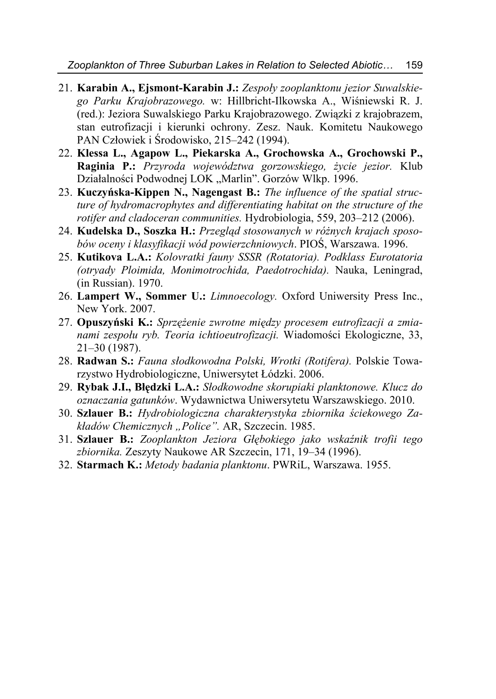- 21. **Karabin A., Ejsmont-Karabin J.:** *Zespoły zooplanktonu jezior Suwalskiego Parku Krajobrazowego.* w: Hillbricht-Ilkowska A., Wiśniewski R. J. (red.): Jeziora Suwalskiego Parku Krajobrazowego. Związki z krajobrazem, stan eutrofizacji i kierunki ochrony. Zesz. Nauk. Komitetu Naukowego PAN Człowiek i Środowisko, 215–242 (1994).
- 22. **Klessa L., Agapow L., Piekarska A., Grochowska A., Grochowski P., Raginia P.:** *Przyroda województwa gorzowskiego, życie jezior.* Klub Działalności Podwodnej LOK "Marlin". Gorzów Wlkp. 1996.
- 23. **Kuczyńska-Kippen N., Nagengast B.:** *The influence of the spatial structure of hydromacrophytes and differentiating habitat on the structure of the rotifer and cladoceran communities.* Hydrobiologia, 559, 203–212 (2006).
- 24. **Kudelska D., Soszka H.:** *Przegląd stosowanych w różnych krajach sposobów oceny i klasyfikacji wód powierzchniowych*. PIOŚ, Warszawa. 1996.
- 25. **Kutikova L.A.:** *Kolovratki fauny SSSR (Rotatoria). Podklass Eurotatoria (otryady Ploimida, Monimotrochida, Paedotrochida).* Nauka, Leningrad, (in Russian). 1970.
- 26. **Lampert W., Sommer U.:** *Limnoecology.* Oxford Uniwersity Press Inc., New York. 2007.
- 27. **Opuszyński K.:** *Sprzężenie zwrotne między procesem eutrofizacji a zmianami zespołu ryb. Teoria ichtioeutrofizacji.* Wiadomości Ekologiczne, 33, 21–30 (1987).
- 28. **Radwan S.:** *Fauna słodkowodna Polski, Wrotki (Rotifera).* Polskie Towarzystwo Hydrobiologiczne, Uniwersytet Łódzki. 2006.
- 29. **Rybak J.I., Błędzki L.A.:** *Słodkowodne skorupiaki planktonowe. Klucz do oznaczania gatunków*. Wydawnictwa Uniwersytetu Warszawskiego. 2010.
- 30. **Szlauer B.:** *Hydrobiologiczna charakterystyka zbiornika ściekowego Zakładów Chemicznych "Police".* AR, Szczecin. 1985.
- 31. **Szlauer B.:** *Zooplankton Jeziora Głębokiego jako wskaźnik trofii tego zbiornika.* Zeszyty Naukowe AR Szczecin, 171, 19–34 (1996).
- 32. **Starmach K.:** *Metody badania planktonu*. PWRiL, Warszawa. 1955.